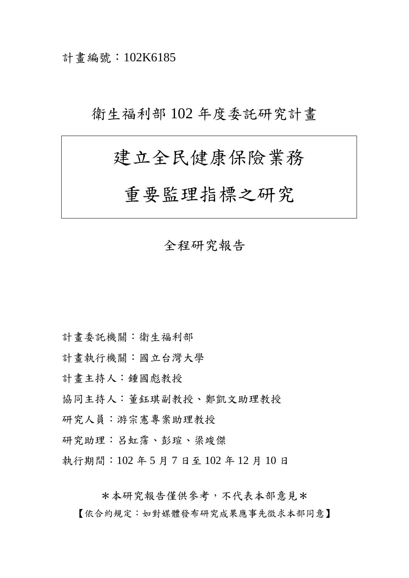計畫編號:102K6185

## 衛生福利部 102 年度委託研究計畫

# 建立全民健康保險業務

## 重要監理指標之研究

### 全程研究報告

- 計畫委託機關:衛生福利部
- 計畫執行機關:國立台灣大學
- 計畫主持人:鍾國彪教授
- 協同主持人:董鈺琪副教授、鄭凱文助理教授
- 研究人員:游宗憲專案助理教授
- 研究助理:呂虹霈、彭瑄、梁竣傑
- 執行期間:102 年 5 月 7 日至 102 年 12 月 10 日

\*本研究報告僅供參考,不代表本部意見\*

【依合約規定:如對媒體發布研究成果應事先徵求本部同意】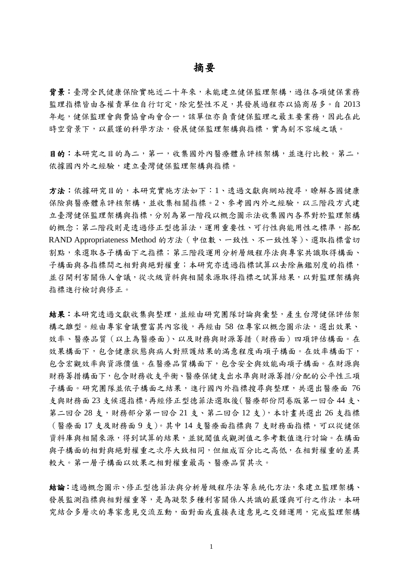#### 摘要

背景:臺灣全民健康保險實施近二十年來,未能建立健保監理架構,過往各項健保業務 監理指標皆由各權責單位自行訂定,除完整性不足,其發展過程亦以協商居多。自 2013 年起,健保監理會與費協會兩會合一,該單位亦負責健保監理之最主要業務,因此在此 時空背景下,以嚴謹的科學方法,發展健保監理架構與指標,實為刻不容緩之議。

目的:本研究之目的為二,第一,收集國外內醫療體系評核架構,並進行比較。第二, 依據國內外之經驗,建立臺灣健保監理架構與指標。

方法:依據研究目的,本研究實施方法如下:1、透過文獻與網站搜尋,瞭解各國健康 保險與醫療體系評核架構,並收集相關指標。2、參考國內外之經驗,以三階段方式建 立臺灣健保監理架構與指標,分別為第一階段以概念圖示法收集國內各界對於監理架構 的概念;第二階段則是透過修正型德菲法,運用重要性、可行性與能用性之標準,搭配 RAND Appropriateness Method 的方法(中位數、一致性、不一致性等)、選取指標當切 割點,來選取各子構面下之指標;第三階段運用分析層級程序法與專家共識取得構面、 子構面與各指標間之相對與絕對權重;本研究亦透過指標試算以去除無鑑別度的指標, 並召開利害關係人會議,從次級資料與相關來源取得指標之試算結果,以對監理架構與 指標進行檢討與修正。

結果:本研究透過文獻收集與整理,並經由研究團隊討論與彙整,產生台灣健保評估架 構之雛型。經由專家會議豐富其內容後,再經由 58 位專家以概念圖示法,選出效果、 效率、醫療品質(以上為醫療面)、以及財務與財源籌措(財務面)四項評估構面。在 效果構面下,包含健康狀態與病人對照護結果的滿意程度兩項子構面。在效率構面下, 包含宏觀效率與資源價值。在醫療品質構面下,包含安全與效能兩項子構面。在財源與 財務籌措構面下,包含財務收支平衡、醫療保健支出水準與財源籌措/分配的公平性三項 子構面。研究團隊並依子構面之結果,進行國內外指標搜尋與整理,共選出醫療面 76 支與財務面 23 支候選指標,再經修正型德菲法選取後(醫療部份問卷版第一回合44 支、 第二回合 28 支, 財務部分第一回合 21 支、第二回合 12 支), 本計畫共選出 26 支指標 (醫療面 17 支及財務面 9 支)。其中 14 支醫療面指標與 7 支財務面指標,可以從健保 資料庫與相關來源,得到試算的結果,並就閾值或觀測值之參考數值進行討論。在構面 與子構面的相對與絕對權重之次序大致相同,但組成百分比之高低,在相對權重的差異 較大。第一層子構面以效果之相對權重最高、醫療品質其次。

結論:透過概念圖示、修正型德菲法與分析層級程序法等系統化方法,來建立監理架構、 發展監測指標與相對權重等,是為凝聚多種利害關係人共識的嚴謹與可行之作法。本研 究結合多層次的專家意見交流互動,面對面或直接表達意見之交錯運用,完成監理架構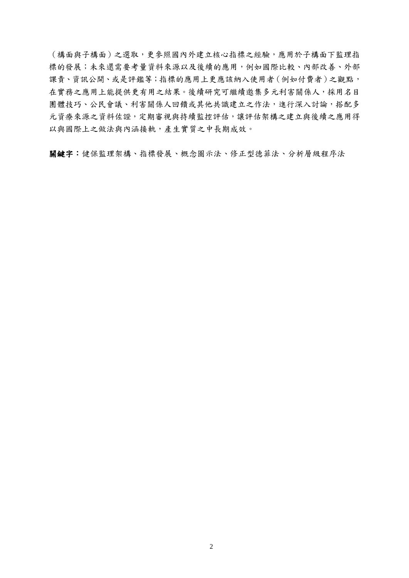(構面與子構面)之選取,更參照國內外建立核心指標之經驗,應用於子構面下監理指 標的發展;未來還需要考量資料來源以及後續的應用,例如國際比較、內部改善、外部 課責、資訊公開、或是評鑑等;指標的應用上更應該納入使用者(例如付費者)之觀點, 在實務之應用上能提供更有用之結果。後續研究可繼續邀集多元利害關係人,採用名目 團體技巧、公民會議、利害關係人回饋或其他共識建立之作法,進行深入討論,搭配多 元資療來源之資料佐證,定期審視與持續監控評估,讓評估架構之建立與後續之應用得 以與國際上之做法與內涵接軌,產生實質之中長期成效。

關鍵字:健保監理架構、指標發展、概念圖示法、修正型德菲法、分析層級程序法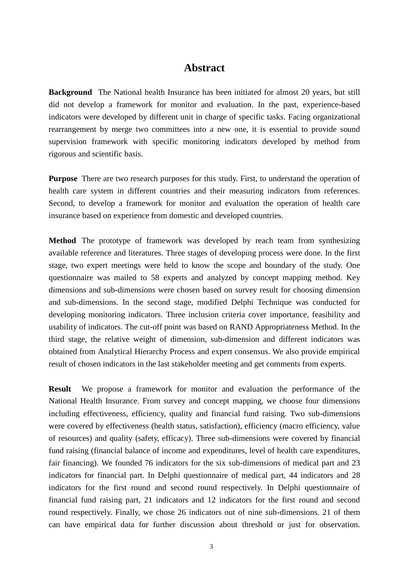### **Abstract**

**Background** The National health Insurance has been initiated for almost 20 years, but still did not develop a framework for monitor and evaluation. In the past, experience-based indicators were developed by different unit in charge of specific tasks. Facing organizational rearrangement by merge two committees into a new one, it is essential to provide sound supervision framework with specific monitoring indicators developed by method from rigorous and scientific basis.

**Purpose** There are two research purposes for this study. First, to understand the operation of health care system in different countries and their measuring indicators from references. Second, to develop a framework for monitor and evaluation the operation of health care insurance based on experience from domestic and developed countries.

**Method** The prototype of framework was developed by reach team from synthesizing available reference and literatures. Three stages of developing process were done. In the first stage, two expert meetings were held to know the scope and boundary of the study. One questionnaire was mailed to 58 experts and analyzed by concept mapping method. Key dimensions and sub-dimensions were chosen based on survey result for choosing dimension and sub-dimensions. In the second stage, modified Delphi Technique was conducted for developing monitoring indicators. Three inclusion criteria cover importance, feasibility and usability of indicators. The cut-off point was based on RAND Appropriateness Method. In the third stage, the relative weight of dimension, sub-dimension and different indicators was obtained from Analytical Hierarchy Process and expert consensus. We also provide empirical result of chosen indicators in the last stakeholder meeting and get comments from experts.

**Result** We propose a framework for monitor and evaluation the performance of the National Health Insurance. From survey and concept mapping, we choose four dimensions including effectiveness, efficiency, quality and financial fund raising. Two sub-dimensions were covered by effectiveness (health status, satisfaction), efficiency (macro efficiency, value of resources) and quality (safety, efficacy). Three sub-dimensions were covered by financial fund raising (financial balance of income and expenditures, level of health care expenditures, fair financing). We founded 76 indicators for the six sub-dimensions of medical part and 23 indicators for financial part. In Delphi questionnaire of medical part, 44 indicators and 28 indicators for the first round and second round respectively. In Delphi questionnaire of financial fund raising part, 21 indicators and 12 indicators for the first round and second round respectively. Finally, we chose 26 indicators out of nine sub-dimensions. 21 of them can have empirical data for further discussion about threshold or just for observation.